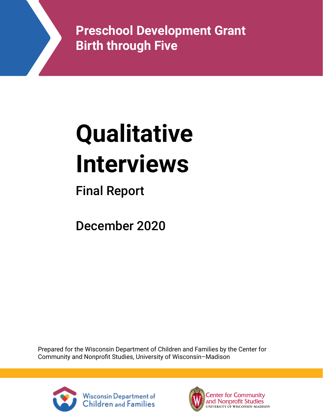**Preschool Development Grant Birth through Five**

# **Qualitative Interviews**

Final Report

December 2020

Prepared for the Wisconsin Department of Children and Families by the Center for Community and Nonprofit Studies, University of Wisconsin–Madison



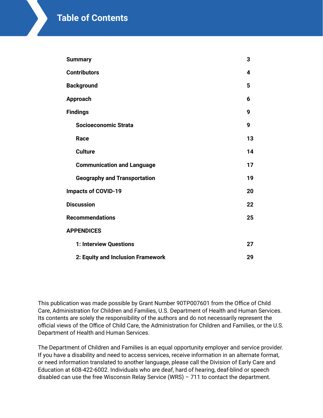**Table of Contents**

| <b>Summary</b>                      | 3  |  |  |  |  |
|-------------------------------------|----|--|--|--|--|
| <b>Contributors</b>                 | 4  |  |  |  |  |
| <b>Background</b>                   |    |  |  |  |  |
| <b>Approach</b>                     | 6  |  |  |  |  |
| <b>Findings</b>                     | 9  |  |  |  |  |
| <b>Socioeconomic Strata</b>         | 9  |  |  |  |  |
| Race                                | 13 |  |  |  |  |
| <b>Culture</b>                      | 14 |  |  |  |  |
| <b>Communication and Language</b>   | 17 |  |  |  |  |
| <b>Geography and Transportation</b> | 19 |  |  |  |  |
| <b>Impacts of COVID-19</b>          |    |  |  |  |  |
| <b>Discussion</b>                   |    |  |  |  |  |
| <b>Recommendations</b>              |    |  |  |  |  |
| <b>APPENDICES</b>                   |    |  |  |  |  |
| 1: Interview Questions              |    |  |  |  |  |
| 2: Equity and Inclusion Framework   | 29 |  |  |  |  |

This publication was made possible by Grant Number 90TP007601 from the Office of Child Care, Administration for Children and Families, U.S. Department of Health and Human Services. Its contents are solely the responsibility of the authors and do not necessarily represent the official views of the Office of Child Care, the Administration for Children and Families, or the U.S. Department of Health and Human Services.

The Department of Children and Families is an equal opportunity employer and service provider. If you have a disability and need to access services, receive information in an alternate format, or need information translated to another language, please call the Division of Early Care and Education at 608-422-6002. Individuals who are deaf, hard of hearing, deaf-blind or speech disabled can use the free Wisconsin Relay Service (WRS) – 711 to contact the department.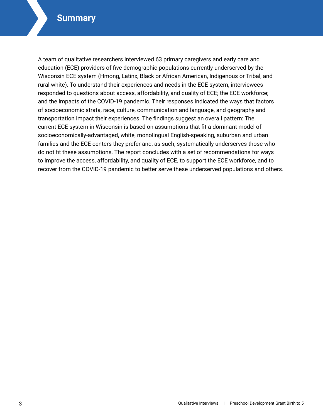# <span id="page-2-0"></span>**Summary**

A team of qualitative researchers interviewed 63 primary caregivers and early care and education (ECE) providers of five demographic populations currently underserved by the Wisconsin ECE system (Hmong, Latinx, Black or African American, Indigenous or Tribal, and rural white). To understand their experiences and needs in the ECE system, interviewees responded to questions about access, affordability, and quality of ECE; the ECE workforce; and the impacts of the COVID-19 pandemic. Their responses indicated the ways that factors of socioeconomic strata, race, culture, communication and language, and geography and transportation impact their experiences. The findings suggest an overall pattern: The current ECE system in Wisconsin is based on assumptions that fit a dominant model of socioeconomically-advantaged, white, monolingual English-speaking, suburban and urban families and the ECE centers they prefer and, as such, systematically underserves those who do not fit these assumptions. The report concludes with a set of recommendations for ways to improve the access, affordability, and quality of ECE, to support the ECE workforce, and to recover from the COVID-19 pandemic to better serve these underserved populations and others.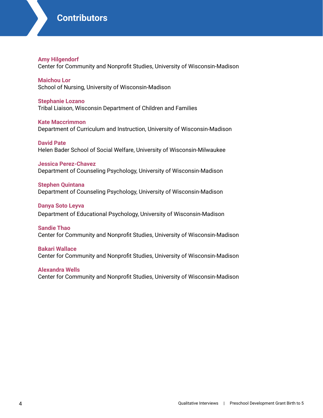<span id="page-3-0"></span>

#### **Amy Hilgendorf**

Center for Community and Nonprofit Studies, University of Wisconsin-Madison

**Maichou Lor**  School of Nursing, University of Wisconsin-Madison

**Stephanie Lozano**  Tribal Liaison, Wisconsin Department of Children and Families

**Kate Maccrimmon**  Department of Curriculum and Instruction, University of Wisconsin-Madison

**David Pate** Helen Bader School of Social Welfare, University of Wisconsin-Milwaukee

#### **Jessica Perez-Chavez**

Department of Counseling Psychology, University of Wisconsin-Madison

**Stephen Quintana**  Department of Counseling Psychology, University of Wisconsin-Madison

**Danya Soto Leyva**  Department of Educational Psychology, University of Wisconsin-Madison

**Sandie Thao**  Center for Community and Nonprofit Studies, University of Wisconsin-Madison

**Bakari Wallace**  Center for Community and Nonprofit Studies, University of Wisconsin-Madison

**Alexandra Wells**  Center for Community and Nonprofit Studies, University of Wisconsin-Madison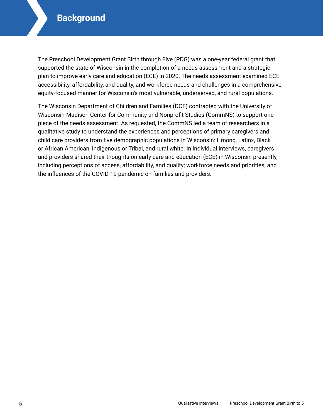<span id="page-4-0"></span>The Preschool Development Grant Birth through Five (PDG) was a one-year federal grant that supported the state of Wisconsin in the completion of a needs assessment and a strategic plan to improve early care and education (ECE) in 2020. The needs assessment examined ECE accessibility, affordability, and quality, and workforce needs and challenges in a comprehensive, equity-focused manner for Wisconsin's most vulnerable, underserved, and rural populations.

The Wisconsin Department of Children and Families (DCF) contracted with the University of Wisconsin-Madison Center for Community and Nonprofit Studies (CommNS) to support one piece of the needs assessment. As requested, the CommNS led a team of researchers in a qualitative study to understand the experiences and perceptions of primary caregivers and child care providers from five demographic populations in Wisconsin: Hmong, Latinx, Black or African American, Indigenous or Tribal, and rural white. In individual interviews, caregivers and providers shared their thoughts on early care and education (ECE) in Wisconsin presently, including perceptions of access, affordability, and quality; workforce needs and priorities; and the influences of the COVID-19 pandemic on families and providers.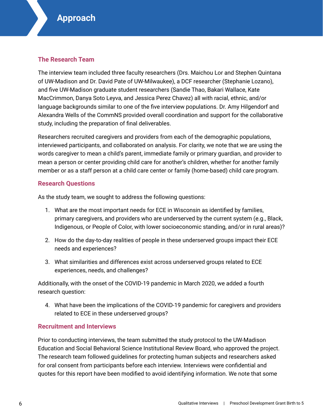# <span id="page-5-0"></span>**The Research Team**

The interview team included three faculty researchers (Drs. Maichou Lor and Stephen Quintana of UW-Madison and Dr. David Pate of UW-Milwaukee), a DCF researcher (Stephanie Lozano), and five UW-Madison graduate student researchers (Sandie Thao, Bakari Wallace, Kate MacCrimmon, Danya Soto Leyva, and Jessica Perez Chavez) all with racial, ethnic, and/or language backgrounds similar to one of the five interview populations. Dr. Amy Hilgendorf and Alexandra Wells of the CommNS provided overall coordination and support for the collaborative study, including the preparation of final deliverables.

Researchers recruited caregivers and providers from each of the demographic populations, interviewed participants, and collaborated on analysis. For clarity, we note that we are using the words caregiver to mean a child's parent, immediate family or primary guardian, and provider to mean a person or center providing child care for another's children, whether for another family member or as a staff person at a child care center or family (home-based) child care program.

#### **Research Questions**

As the study team, we sought to address the following questions:

- 1. What are the most important needs for ECE in Wisconsin as identified by families, primary caregivers, and providers who are underserved by the current system (e.g., Black, Indigenous, or People of Color, with lower socioeconomic standing, and/or in rural areas)?
- 2. How do the day-to-day realities of people in these underserved groups impact their ECE needs and experiences?
- 3. What similarities and differences exist across underserved groups related to ECE experiences, needs, and challenges?

Additionally, with the onset of the COVID-19 pandemic in March 2020, we added a fourth research question:

4. What have been the implications of the COVID-19 pandemic for caregivers and providers related to ECE in these underserved groups?

# **Recruitment and Interviews**

Prior to conducting interviews, the team submitted the study protocol to the UW-Madison Education and Social Behavioral Science Institutional Review Board, who approved the project. The research team followed guidelines for protecting human subjects and researchers asked for oral consent from participants before each interview. Interviews were confidential and quotes for this report have been modified to avoid identifying information. We note that some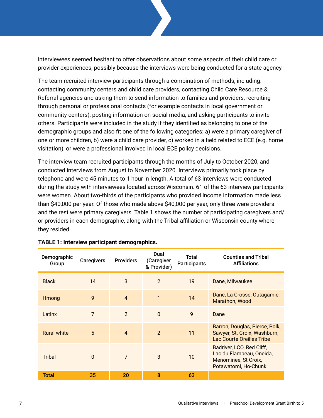interviewees seemed hesitant to offer observations about some aspects of their child care or provider experiences, possibly because the interviews were being conducted for a state agency.

The team recruited interview participants through a combination of methods, including: contacting community centers and child care providers, contacting Child Care Resource & Referral agencies and asking them to send information to families and providers, recruiting through personal or professional contacts (for example contacts in local government or community centers), posting information on social media, and asking participants to invite others. Participants were included in the study if they identified as belonging to one of the demographic groups and also fit one of the following categories: a) were a primary caregiver of one or more children, b) were a child care provider, c) worked in a field related to ECE (e.g. home visitation), or were a professional involved in local ECE policy decisions.

The interview team recruited participants through the months of July to October 2020, and conducted interviews from August to November 2020. Interviews primarily took place by telephone and were 45 minutes to 1 hour in length. A total of 63 interviews were conducted during the study with interviewees located across Wisconsin. 61 of the 63 interview participants were women. About two-thirds of the participants who provided income information made less than \$40,000 per year. Of those who made above \$40,000 per year, only three were providers and the rest were primary caregivers. Table 1 shows the number of participating caregivers and/ or providers in each demographic, along with the Tribal affiliation or Wisconsin county where they resided.

| Demographic<br>Group | <b>Caregivers</b> | <b>Providers</b> | Dual<br>(Caregiver<br>& Provider) | Total<br><b>Participants</b> | <b>Counties and Tribal</b><br><b>Affiliations</b>                                                     |
|----------------------|-------------------|------------------|-----------------------------------|------------------------------|-------------------------------------------------------------------------------------------------------|
| <b>Black</b>         | 14                | 3                | $\overline{2}$                    | 19                           | Dane, Milwaukee                                                                                       |
| Hmong                | 9                 | $\overline{4}$   | 1                                 | 14                           | Dane, La Crosse, Outagamie,<br>Marathon, Wood                                                         |
| Latinx               | $\overline{7}$    | $\overline{2}$   | $\mathbf{0}$                      | 9                            | Dane                                                                                                  |
| <b>Rural white</b>   | 5                 | $\overline{4}$   | $\overline{2}$                    | 11                           | Barron, Douglas, Pierce, Polk,<br>Sawyer, St. Croix, Washburn,<br><b>Lac Courte Oreilles Tribe</b>    |
| <b>Tribal</b>        | $\mathbf 0$       | 7                | 3                                 | 10                           | Badriver, LCO, Red Cliff,<br>Lac du Flambeau, Oneida,<br>Menominee, St Croix,<br>Potawatomi, Ho-Chunk |
| Total                | 35                | 20               | 8                                 | 63                           |                                                                                                       |

#### **TABLE 1: Interview participant demographics.**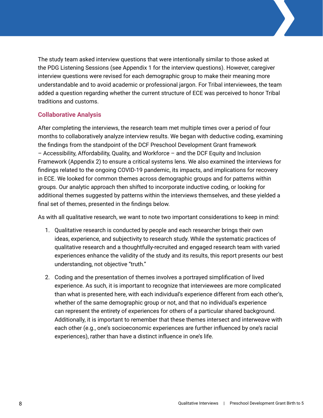The study team asked interview questions that were intentionally similar to those asked at the PDG Listening Sessions (see Appendix 1 for the interview questions). However, caregiver interview questions were revised for each demographic group to make their meaning more understandable and to avoid academic or professional jargon. For Tribal interviewees, the team added a question regarding whether the current structure of ECE was perceived to honor Tribal traditions and customs.

# **Collaborative Analysis**

After completing the interviews, the research team met multiple times over a period of four months to collaboratively analyze interview results. We began with deductive coding, examining the findings from the standpoint of the DCF Preschool Development Grant framework – Accessibility, Affordability, Quality, and Workforce – and the DCF Equity and Inclusion Framework (Appendix 2) to ensure a critical systems lens. We also examined the interviews for findings related to the ongoing COVID-19 pandemic, its impacts, and implications for recovery in ECE. We looked for common themes across demographic groups and for patterns within groups. Our analytic approach then shifted to incorporate inductive coding, or looking for additional themes suggested by patterns within the interviews themselves, and these yielded a final set of themes, presented in the findings below.

As with all qualitative research, we want to note two important considerations to keep in mind:

- 1. Qualitative research is conducted by people and each researcher brings their own ideas, experience, and subjectivity to research study. While the systematic practices of qualitative research and a thoughtfully-recruited and engaged research team with varied experiences enhance the validity of the study and its results, this report presents our best understanding, not objective "truth."
- 2. Coding and the presentation of themes involves a portrayed simplification of lived experience. As such, it is important to recognize that interviewees are more complicated than what is presented here, with each individual's experience different from each other's, whether of the same demographic group or not, and that no individual's experience can represent the entirety of experiences for others of a particular shared background. Additionally, it is important to remember that these themes intersect and interweave with each other (e.g., one's socioeconomic experiences are further influenced by one's racial experiences), rather than have a distinct influence in one's life.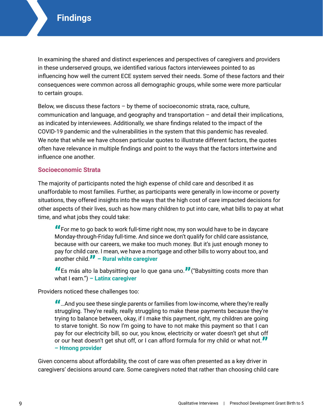<span id="page-8-0"></span>In examining the shared and distinct experiences and perspectives of caregivers and providers in these underserved groups, we identified various factors interviewees pointed to as influencing how well the current ECE system served their needs. Some of these factors and their consequences were common across all demographic groups, while some were more particular to certain groups.

Below, we discuss these factors  $-$  by theme of socioeconomic strata, race, culture, communication and language, and geography and transportation – and detail their implications, as indicated by interviewees. Additionally, we share findings related to the impact of the COVID-19 pandemic and the vulnerabilities in the system that this pandemic has revealed. We note that while we have chosen particular quotes to illustrate different factors, the quotes often have relevance in multiple findings and point to the ways that the factors intertwine and influence one another.

# **Socioeconomic Strata**

The majority of participants noted the high expense of child care and described it as unaffordable to most families. Further, as participants were generally in low-income or poverty situations, they offered insights into the ways that the high cost of care impacted decisions for other aspects of their lives, such as how many children to put into care, what bills to pay at what time, and what jobs they could take:

"For me to go back to work full-time right now, my son would have to be in daycare Monday-through-Friday full-time. And since we don't qualify for child care assistance, because with our careers, we make too much money. But it's just enough money to pay for child care. I mean, we have a mortgage and other bills to worry about too, and another child." **– Rural white caregiver**

"Es más alto la babysitting que lo que gana uno."("Babysitting costs more than what I earn.") **– Latinx caregiver**

Providers noticed these challenges too:

"…And you see these single parents or families from low-income, where they're really struggling. They're really, really struggling to make these payments because they're trying to balance between, okay, if I make this payment, right, my children are going to starve tonight. So now I'm going to have to not make this payment so that I can pay for our electricity bill, so our, you know, electricity or water doesn't get shut off or our heat doesn't get shut off, or I can afford formula for my child or what not.*"*<br>– **Hmong provider – Hmong provider**

Given concerns about affordability, the cost of care was often presented as a key driver in caregivers' decisions around care. Some caregivers noted that rather than choosing child care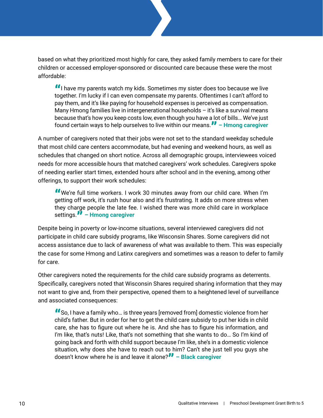based on what they prioritized most highly for care, they asked family members to care for their children or accessed employer-sponsored or discounted care because these were the most affordable:

"I have my parents watch my kids. Sometimes my sister does too because we live together. I'm lucky if I can even compensate my parents. Oftentimes I can't afford to pay them, and it's like paying for household expenses is perceived as compensation. Many Hmong families live in intergenerational households – it's like a survival means because that's how you keep costs low, even though you have a lot of bills… We've just found certain ways to help ourselves to live within our means." **– Hmong caregiver**

A number of caregivers noted that their jobs were not set to the standard weekday schedule that most child care centers accommodate, but had evening and weekend hours, as well as schedules that changed on short notice. Across all demographic groups, interviewees voiced needs for more accessible hours that matched caregivers' work schedules. Caregivers spoke of needing earlier start times, extended hours after school and in the evening, among other offerings, to support their work schedules:

"We're full time workers. I work 30 minutes away from our child care. When I'm getting off work, it's rush hour also and it's frustrating. It adds on more stress when they charge people the late fee. I wished there was more child care in workplace settings." **– Hmong caregiver**

Despite being in poverty or low-income situations, several interviewed caregivers did not participate in child care subsidy programs, like Wisconsin Shares. Some caregivers did not access assistance due to lack of awareness of what was available to them. This was especially the case for some Hmong and Latinx caregivers and sometimes was a reason to defer to family for care.

Other caregivers noted the requirements for the child care subsidy programs as deterrents. Specifically, caregivers noted that Wisconsin Shares required sharing information that they may not want to give and, from their perspective, opened them to a heightened level of surveillance and associated consequences:

"So, I have a family who… is three years [removed from] domestic violence from her child's father. But in order for her to get the child care subsidy to put her kids in child care, she has to figure out where he is. And she has to figure his information, and I'm like, that's nuts! Like, that's not something that she wants to do… So I'm kind of going back and forth with child support because I'm like, she's in a domestic violence situation, why does she have to reach out to him? Can't she just tell you guys she doesn't know where he is and leave it alone?" **– Black caregiver**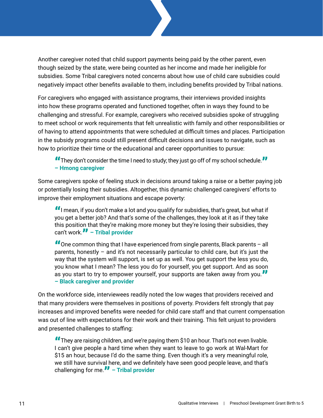Another caregiver noted that child support payments being paid by the other parent, even though seized by the state, were being counted as her income and made her ineligible for subsidies. Some Tribal caregivers noted concerns about how use of child care subsidies could negatively impact other benefits available to them, including benefits provided by Tribal nations.

For caregivers who engaged with assistance programs, their interviews provided insights into how these programs operated and functioned together, often in ways they found to be challenging and stressful. For example, caregivers who received subsidies spoke of struggling to meet school or work requirements that felt unrealistic with family and other responsibilities or of having to attend appointments that were scheduled at difficult times and places. Participation in the subsidy programs could still present difficult decisions and issues to navigate, such as how to prioritize their time or the educational and career opportunities to pursue:

"They don't consider the time I need to study; they just go off of my school schedule. " **– Hmong caregiver**

Some caregivers spoke of feeling stuck in decisions around taking a raise or a better paying job or potentially losing their subsidies. Altogether, this dynamic challenged caregivers' efforts to improve their employment situations and escape poverty:

 $\bullet\bullet$  I mean, if you don't make a lot and you qualify for subsidies, that's great, but what if you get a better job? And that's some of the challenges, they look at it as if they take this position that they're making more money but they're losing their subsidies, they can't work." **– Tribal provider**

"One common thing that I have experienced from single parents, Black parents – all parents, honestly  $-$  and it's not necessarily particular to child care, but it's just the way that the system will support, is set up as well. You get support the less you do, you know what I mean? The less you do for yourself, you get support. And as soon .<br>as you start to try to empower yourself, your supports are taken away from you."<br>– Black caregiver and provider **– Black caregiver and provider**

On the workforce side, interviewees readily noted the low wages that providers received and that many providers were themselves in positions of poverty. Providers felt strongly that pay increases and improved benefits were needed for child care staff and that current compensation was out of line with expectations for their work and their training. This felt unjust to providers and presented challenges to staffing:

"They are raising children, and we're paying them \$10 an hour. That's not even livable. I can't give people a hard time when they want to leave to go work at Wal-Mart for \$15 an hour, because I'd do the same thing. Even though it's a very meaningful role, we still have survival here, and we definitely have seen good people leave, and that's challenging for me." **– Tribal provider**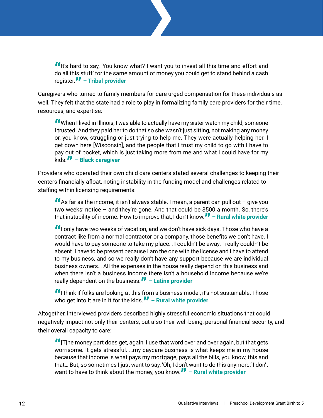It's hard to say, 'You know what? I want you to invest all this time and effort and do all this stuff' for the same amount of money you could get to stand behind a cash register." **– Tribal provider**

Caregivers who turned to family members for care urged compensation for these individuals as well. They felt that the state had a role to play in formalizing family care providers for their time, resources, and expertise:

"When I lived in Illinois, I was able to actually have my sister watch my child, someone I trusted. And they paid her to do that so she wasn't just sitting, not making any money or, you know, struggling or just trying to help me. They were actually helping her. I get down here [Wisconsin], and the people that I trust my child to go with I have to pay out of pocket, which is just taking more from me and what I could have for my kids." **– Black caregiver**

Providers who operated their own child care centers stated several challenges to keeping their centers financially afloat, noting instability in the funding model and challenges related to staffing within licensing requirements:

 $\blacksquare$  As far as the income, it isn't always stable. I mean, a parent can pull out  $-$  give you two weeks' notice – and they're gone. And that could be \$500 a month. So, there's that instability of income. How to improve that, I don't know." **– Rural white provider**

If I only have two weeks of vacation, and we don't have sick days. Those who have a contract like from a normal contractor or a company, those benefits we don't have. I would have to pay someone to take my place… I couldn't be away. I really couldn't be absent. I have to be present because I am the one with the license and I have to attend to my business, and so we really don't have any support because we are individual business owners… All the expenses in the house really depend on this business and when there isn't a business income there isn't a household income because we're really dependent on the business." **– Latinx provider**

"I think if folks are looking at this from a business model, it's not sustainable. Those who get into it are in it for the kids." **– Rural white provider**

Altogether, interviewed providers described highly stressful economic situations that could negatively impact not only their centers, but also their well-being, personal financial security, and their overall capacity to care:

"[T]he money part does get, again, I use that word over and over again, but that gets worrisome. It gets stressful. …my daycare business is what keeps me in my house because that income is what pays my mortgage, pays all the bills, you know, this and that… But, so sometimes I just want to say, 'Oh, I don't want to do this anymore.' I don't want to have to think about the money, you know." **– Rural white provider**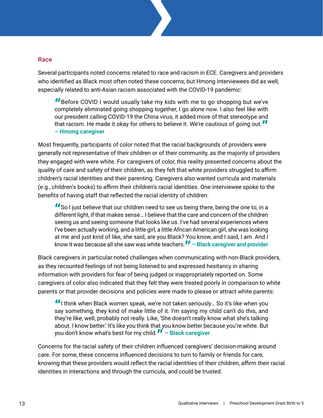#### <span id="page-12-0"></span>**Race**

Several participants noted concerns related to race and racism in ECE. Caregivers and providers who identified as Black most often noted these concerns, but Hmong interviewees did as well, especially related to anti-Asian racism associated with the COVID-19 pandemic:

**"** Before COVID I would usually take my kids with me to go shopping but we've completely eliminated going shopping together, I go alone now. I also feel like with our president calling COVID-19 the China virus, it added more of that stereotype and that racism. He made it okay for others to believe it. We're cautious of going out.  $\blacksquare$ <br>– **Hmong caregiver – Hmong caregiver**

Most frequently, participants of color noted that the racial backgrounds of providers were generally not representative of their children or of their community, as the majority of providers they engaged with were white. For caregivers of color, this reality presented concerns about the quality of care and safety of their children, as they felt that white providers struggled to affirm children's racial identities and their parenting. Caregivers also wanted curricula and materials (e.g., children's books) to affirm their children's racial identities. One interviewee spoke to the benefits of having staff that reflected the racial identity of children:

"So I just believe that our children need to see us being there, being the one to, in a different light, if that makes sense… I believe that the care and concern of the children seeing us and seeing someone that looks like us. I've had several experiences where I've been actually working, and a little girl, a little African American girl, she was looking at me and just kind of like, she said, are you Black? You know, and I said, I am. And I know it was because all she saw was white teachers." **– Black caregiver and provider**

Black caregivers in particular noted challenges when communicating with non-Black providers, as they recounted feelings of not being listened to and expressed hesitancy in sharing information with providers for fear of being judged or inappropriately reported on. Some caregivers of color also indicated that they felt they were treated poorly in comparison to white parents or that provider decisions and policies were made to please or attract white parents:

"I think when Black women speak, we're not taken seriously… So it's like when you say something, they kind of make little of it. I'm saying my child can't do this, and they're like, well, probably not really. Like, 'She doesn't really know what she's talking about. I know better.' It's like you think that you know better because you're white. But you don't know what's best for my child." **– Black caregiver**

Concerns for the racial safety of their children influenced caregivers' decision-making around care. For some, these concerns influenced decisions to turn to family or friends for care, knowing that these providers would reflect the racial identities of their children, affirm their racial identities in interactions and through the curricula, and could be trusted.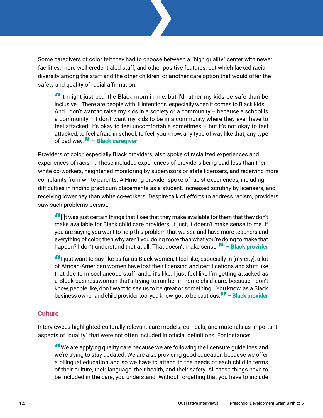<span id="page-13-0"></span>Some caregivers of color felt they had to choose between a "high quality" center with newer facilities, more well-credentialed staff, and other positive features, but which lacked racial diversity among the staff and the other children, or another care option that would offer the safety and quality of racial affirmation:

"It might just be… the Black mom in me, but I'd rather my kids be safe than be inclusive… There are people with ill intentions, especially when it comes to Black kids… And I don't want to raise my kids in a society or a community – because a school is a community – I don't want my kids to be in a community where they ever have to feel attacked. It's okay to feel uncomfortable sometimes – but it's not okay to feel attacked, to feel afraid in school, to feel, you know, any type of way like that, any type of bad way." **– Black caregiver**

Providers of color, especially Black providers, also spoke of racialized experiences and experiences of racism. These included experiences of providers being paid less than their white co-workers, heightened monitoring by supervisors or state licensers, and receiving more complaints from white parents. A Hmong provider spoke of racist experiences, including difficulties in finding practicum placements as a student, increased scrutiny by licensers, and receiving lower pay than white co-workers. Despite talk of efforts to address racism, providers saw such problems persist:

"[I]t was just certain things that I see that they make available for them that they don't make available for Black child care providers. It just, it doesn't make sense to me. If you are saying you want to help this problem that we see and have more teachers and everything of color, then why aren't you doing more than what you're doing to make that happen? I don't understand that at all. That doesn't make sense." **– Black provider**

I just want to say like as far as Black women, I feel like, especially in [my city], a lot of African-American women have lost their licensing and certifications and stuff like that due to miscellaneous stuff, and… it's like, I just feel like I'm getting attacked as a Black businesswoman that's trying to run her in-home child care, because I don't know, people like, don't want to see us to be great or something… You know, as a Black business owner and child provider too, you know, got to be cautious." **– Black provider**

#### **Culture**

Interviewees highlighted culturally-relevant care models, curricula, and materials as important aspects of "quality" that were not often included in official definitions. For instance:

"We are applying quality care because we are following the licensure guidelines and we're trying to stay updated. We are also providing good education because we offer a bilingual education and so we have to attend to the needs of each child in terms of their culture, their language, their health, and their safety. All these things have to be included in the care; you understand. Without forgetting that you have to include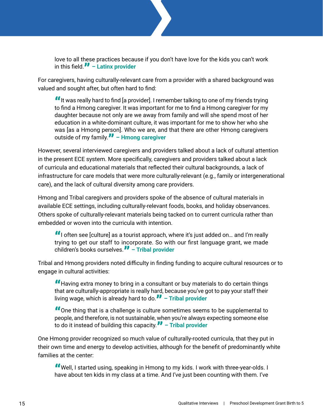love to all these practices because if you don't have love for the kids you can't work in this field." **– Latinx provider**

For caregivers, having culturally-relevant care from a provider with a shared background was valued and sought after, but often hard to find:

If it was really hard to find [a provider]. I remember talking to one of my friends trying to find a Hmong caregiver. It was important for me to find a Hmong caregiver for my daughter because not only are we away from family and will she spend most of her education in a white-dominant culture, it was important for me to show her who she was [as a Hmong person]. Who we are, and that there are other Hmong caregivers outside of my family." **– Hmong caregiver**

However, several interviewed caregivers and providers talked about a lack of cultural attention in the present ECE system. More specifically, caregivers and providers talked about a lack of curricula and educational materials that reflected their cultural backgrounds, a lack of infrastructure for care models that were more culturally-relevant (e.g., family or intergenerational care), and the lack of cultural diversity among care providers.

Hmong and Tribal caregivers and providers spoke of the absence of cultural materials in available ECE settings, including culturally-relevant foods, books, and holiday observances. Others spoke of culturally-relevant materials being tacked on to current curricula rather than embedded or woven into the curricula with intention.

If I often see [culture] as a tourist approach, where it's just added on... and I'm really<br>trying to get our staff to incorporate. So with our first language grant, we made children's books ourselves." **– Tribal provider**

Tribal and Hmong providers noted difficulty in finding funding to acquire cultural resources or to engage in cultural activities:

"Having extra money to bring in a consultant or buy materials to do certain things that are culturally-appropriate is really hard, because you've got to pay your staff their living wage, which is already hard to do." **– Tribal provider**

**"** One thing that is a challenge is culture sometimes seems to be supplemental to people, and therefore, is not sustainable, when you're always expecting someone else to do it instead of building this capacity." **– Tribal provider**

One Hmong provider recognized so much value of culturally-rooted curricula, that they put in their own time and energy to develop activities, although for the benefit of predominantly white families at the center:

"Well, I started using, speaking in Hmong to my kids. I work with three-year-olds. I have about ten kids in my class at a time. And I've just been counting with them. I've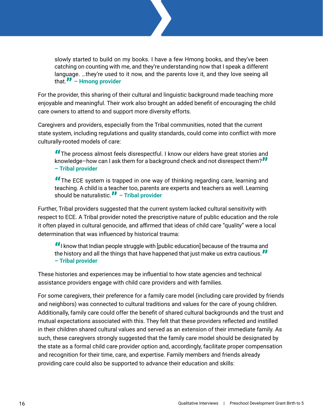slowly started to build on my books. I have a few Hmong books, and they've been catching on counting with me, and they're understanding now that I speak a different language. …they're used to it now, and the parents love it, and they love seeing all that." **– Hmong provider**

For the provider, this sharing of their cultural and linguistic background made teaching more enjoyable and meaningful. Their work also brought an added benefit of encouraging the child care owners to attend to and support more diversity efforts.

Caregivers and providers, especially from the Tribal communities, noted that the current state system, including regulations and quality standards, could come into conflict with more culturally-rooted models of care:

**The process almost feels disrespectful. I know our elders have great stories and** knowledge–how can I ask them for a background check and not disrespect them?"<br>– **Tribal provider – Tribal provider**

"The ECE system is trapped in one way of thinking regarding care, learning and teaching. A child is a teacher too, parents are experts and teachers as well. Learning should be naturalistic." **– Tribal provider**

Further, Tribal providers suggested that the current system lacked cultural sensitivity with respect to ECE. A Tribal provider noted the prescriptive nature of public education and the role it often played in cultural genocide, and affirmed that ideas of child care "quality" were a local determination that was influenced by historical trauma:

If I know that Indian people struggle with [public education] because of the trauma and the history and all the things that have happened that just make us extra cautious.  $\blacksquare$ <br>– Tribal provider **– Tribal provider**

These histories and experiences may be influential to how state agencies and technical assistance providers engage with child care providers and with families.

For some caregivers, their preference for a family care model (including care provided by friends and neighbors) was connected to cultural traditions and values for the care of young children. Additionally, family care could offer the benefit of shared cultural backgrounds and the trust and mutual expectations associated with this. They felt that these providers reflected and instilled in their children shared cultural values and served as an extension of their immediate family. As such, these caregivers strongly suggested that the family care model should be designated by the state as a formal child care provider option and, accordingly, facilitate proper compensation and recognition for their time, care, and expertise. Family members and friends already providing care could also be supported to advance their education and skills: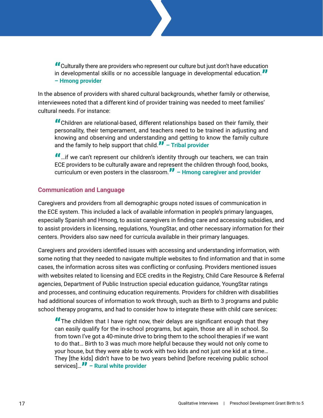<span id="page-16-0"></span>**"** Culturally there are providers who represent our culture but just don't have education in developmental skills or no accessible language in developmental education. *W*<br>– Hmong provider **– Hmong provider**

In the absence of providers with shared cultural backgrounds, whether family or otherwise, interviewees noted that a different kind of provider training was needed to meet families' cultural needs. For instance:

"Children are relational-based, different relationships based on their family, their personality, their temperament, and teachers need to be trained in adjusting and knowing and observing and understanding and getting to know the family culture and the family to help support that child." **– Tribal provider**

"…if we can't represent our children's identity through our teachers, we can train ECE providers to be culturally aware and represent the children through food, books, curriculum or even posters in the classroom." **– Hmong caregiver and provider**

# **Communication and Language**

Caregivers and providers from all demographic groups noted issues of communication in the ECE system. This included a lack of available information in people's primary languages, especially Spanish and Hmong, to assist caregivers in finding care and accessing subsidies, and to assist providers in licensing, regulations, YoungStar, and other necessary information for their centers. Providers also saw need for curricula available in their primary languages.

Caregivers and providers identified issues with accessing and understanding information, with some noting that they needed to navigate multiple websites to find information and that in some cases, the information across sites was conflicting or confusing. Providers mentioned issues with websites related to licensing and ECE credits in the Registry, Child Care Resource & Referral agencies, Department of Public Instruction special education guidance, YoungStar ratings and processes, and continuing education requirements. Providers for children with disabilities had additional sources of information to work through, such as Birth to 3 programs and public school therapy programs, and had to consider how to integrate these with child care services:

"The children that I have right now, their delays are significant enough that they can easily qualify for the in-school programs, but again, those are all in school. So from town I've got a 40-minute drive to bring them to the school therapies if we want to do that… Birth to 3 was much more helpful because they would not only come to your house, but they were able to work with two kids and not just one kid at a time… They [the kids] didn't have to be two years behind [before receiving public school services]…" **– Rural white provider**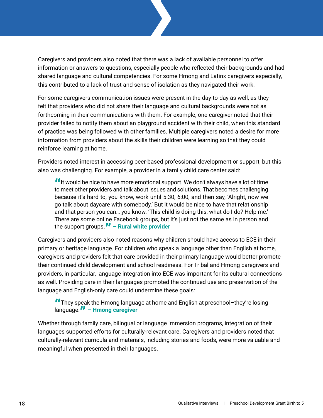Caregivers and providers also noted that there was a lack of available personnel to offer information or answers to questions, especially people who reflected their backgrounds and had shared language and cultural competencies. For some Hmong and Latinx caregivers especially, this contributed to a lack of trust and sense of isolation as they navigated their work.

For some caregivers communication issues were present in the day-to-day as well, as they felt that providers who did not share their language and cultural backgrounds were not as forthcoming in their communications with them. For example, one caregiver noted that their provider failed to notify them about an playground accident with their child, when this standard of practice was being followed with other families. Multiple caregivers noted a desire for more information from providers about the skills their children were learning so that they could reinforce learning at home.

Providers noted interest in accessing peer-based professional development or support, but this also was challenging. For example, a provider in a family child care center said:

If it would be nice to have more emotional support. We don't always have a lot of time to meet other providers and talk about issues and solutions. That becomes challenging because it's hard to, you know, work until 5:30, 6:00, and then say, 'Alright, now we go talk about daycare with somebody.' But it would be nice to have that relationship and that person you can… you know. 'This child is doing this, what do I do? Help me.' There are some online Facebook groups, but it's just not the same as in person and the support groups." **– Rural white provider**

Caregivers and providers also noted reasons why children should have access to ECE in their primary or heritage language. For children who speak a language other than English at home, caregivers and providers felt that care provided in their primary language would better promote their continued child development and school readiness. For Tribal and Hmong caregivers and providers, in particular, language integration into ECE was important for its cultural connections as well. Providing care in their languages promoted the continued use and preservation of the language and English-only care could undermine these goals:

"They speak the Hmong language at home and English at preschool–they're losing language." **– Hmong caregiver**

Whether through family care, bilingual or language immersion programs, integration of their languages supported efforts for culturally-relevant care. Caregivers and providers noted that culturally-relevant curricula and materials, including stories and foods, were more valuable and meaningful when presented in their languages.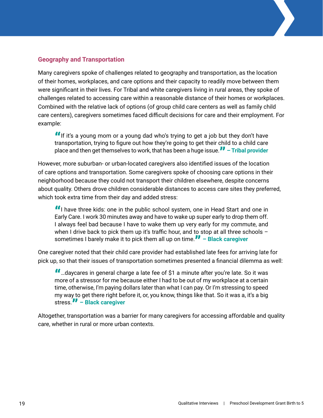# <span id="page-18-0"></span>**Geography and Transportation**

Many caregivers spoke of challenges related to geography and transportation, as the location of their homes, workplaces, and care options and their capacity to readily move between them were significant in their lives. For Tribal and white caregivers living in rural areas, they spoke of challenges related to accessing care within a reasonable distance of their homes or workplaces. Combined with the relative lack of options (of group child care centers as well as family child care centers), caregivers sometimes faced difficult decisions for care and their employment. For example:

"If it's a young mom or a young dad who's trying to get a job but they don't have transportation, trying to figure out how they're going to get their child to a child care place and then get themselves to work, that has been a huge issue." **– Tribal provider**

However, more suburban- or urban-located caregivers also identified issues of the location of care options and transportation. Some caregivers spoke of choosing care options in their neighborhood because they could not transport their children elsewhere, despite concerns about quality. Others drove children considerable distances to access care sites they preferred, which took extra time from their day and added stress:

"I have three kids: one in the public school system, one in Head Start and one in Early Care. I work 30 minutes away and have to wake up super early to drop them off. I always feel bad because I have to wake them up very early for my commute, and when I drive back to pick them up it's traffic hour, and to stop at all three schools  $$ sometimes I barely make it to pick them all up on time." **– Black caregiver**

One caregiver noted that their child care provider had established late fees for arriving late for pick up, so that their issues of transportation sometimes presented a financial dilemma as well:

**"**...daycares in general charge a late fee of \$1 a minute after you're late. So it was more of a stressor for me because either I had to be out of my workplace at a certain time, otherwise, I'm paying dollars later than what I can pay. Or I'm stressing to speed my way to get there right before it, or, you know, things like that. So it was a, it's a big stress." **– Black caregiver**

Altogether, transportation was a barrier for many caregivers for accessing affordable and quality care, whether in rural or more urban contexts.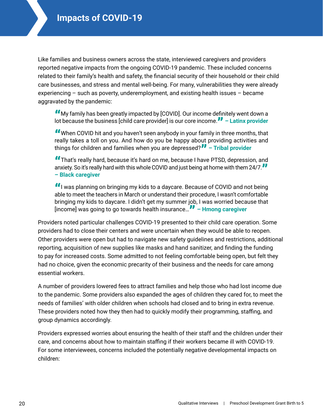<span id="page-19-0"></span>Like families and business owners across the state, interviewed caregivers and providers reported negative impacts from the ongoing COVID-19 pandemic. These included concerns related to their family's health and safety, the financial security of their household or their child care businesses, and stress and mental well-being. For many, vulnerabilities they were already experiencing – such as poverty, underemployment, and existing health issues – became aggravated by the pandemic:

"My family has been greatly impacted by [COVID]. Our income definitely went down a<br>lot because the business [child care provider] is our core income. "I – Latinx provider lot because the business [child care provider] is our core income." **– Latinx provider**

"When COVID hit and you haven't seen anybody in your family in three months, that really takes a toll on you. And how do you be happy about providing activities and things for children and families when you are depressed?" **– Tribal provider**

"That's really hard, because it's hard on me, because I have PTSD, depression, and anxiety. So it's really hard with this whole COVID and just being at home with them 24/7.  $\blacksquare$ <br>— Black caregiver **– Black caregiver**

**If** I was planning on bringing my kids to a daycare. Because of COVID and not being able to meet the teachers in March or understand their procedure, I wasn't comfortable bringing my kids to daycare. I didn't get my summer job, I was worried because that [income] was going to go towards health insurance…" **– Hmong caregiver**

Providers noted particular challenges COVID-19 presented to their child care operation. Some providers had to close their centers and were uncertain when they would be able to reopen. Other providers were open but had to navigate new safety guidelines and restrictions, additional reporting, acquisition of new supplies like masks and hand sanitizer, and finding the funding to pay for increased costs. Some admitted to not feeling comfortable being open, but felt they had no choice, given the economic precarity of their business and the needs for care among essential workers.

A number of providers lowered fees to attract families and help those who had lost income due to the pandemic. Some providers also expanded the ages of children they cared for, to meet the needs of families' with older children when schools had closed and to bring in extra revenue. These providers noted how they then had to quickly modify their programming, staffing, and group dynamics accordingly.

Providers expressed worries about ensuring the health of their staff and the children under their care, and concerns about how to maintain staffing if their workers became ill with COVID-19. For some interviewees, concerns included the potentially negative developmental impacts on children: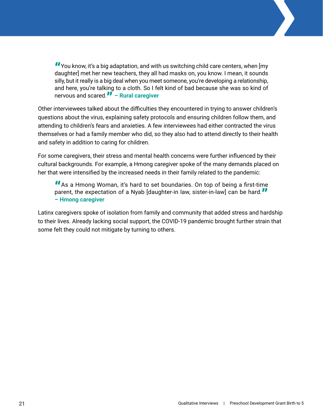"You know, it's a big adaptation, and with us switching child care centers, when [my daughter] met her new teachers, they all had masks on, you know. I mean, it sounds silly, but it really is a big deal when you meet someone, you're developing a relationship, and here, you're talking to a cloth. So I felt kind of bad because she was so kind of nervous and scared." **– Rural caregiver**

Other interviewees talked about the difficulties they encountered in trying to answer children's questions about the virus, explaining safety protocols and ensuring children follow them, and attending to children's fears and anxieties. A few interviewees had either contracted the virus themselves or had a family member who did, so they also had to attend directly to their health and safety in addition to caring for children.

For some caregivers, their stress and mental health concerns were further influenced by their cultural backgrounds. For example, a Hmong caregiver spoke of the many demands placed on her that were intensified by the increased needs in their family related to the pandemic:

"As a Hmong Woman, it's hard to set boundaries. On top of being a first-time parent, the expectation of a Nyab [daughter-in law, sister-in-law] can be hard. " **– Hmong caregiver**

Latinx caregivers spoke of isolation from family and community that added stress and hardship to their lives. Already lacking social support, the COVID-19 pandemic brought further strain that some felt they could not mitigate by turning to others.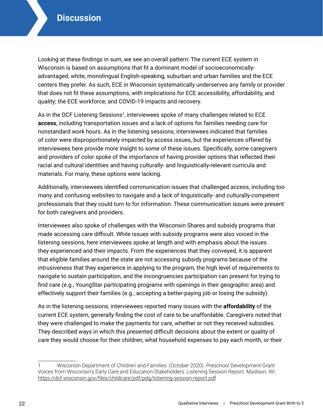<span id="page-21-0"></span>Looking at these findings in sum, we see an overall pattern: The current ECE system in Wisconsin is based on assumptions that fit a dominant model of socioeconomicallyadvantaged, white, monolingual English-speaking, suburban and urban families and the ECE centers they prefer. As such, ECE in Wisconsin systematically underserves any family or provider that does not fit these assumptions, with implications for ECE accessibility, affordability, and quality; the ECE workforce; and COVID-19 impacts and recovery.

As in the DCF Listening Sessions<sup>1</sup>, interviewees spoke of many challenges related to ECE **access**, including transportation issues and a lack of options for families needing care for nonstandard work hours. As in the listening sessions, interviewees indicated that families of color were disproportionately impacted by access issues, but the experiences offered by interviewees here provide more insight to some of these issues. Specifically, some caregivers and providers of color spoke of the importance of having provider options that reflected their racial and cultural identities and having culturally- and linguistically-relevant curricula and materials. For many, these options were lacking.

Additionally, interviewees identified communication issues that challenged access, including too many and confusing websites to navigate and a lack of linguistically- and culturally-competent professionals that they could turn to for information. These communication issues were present for both caregivers and providers.

Interviewees also spoke of challenges with the Wisconsin Shares and subsidy programs that made accessing care difficult. While issues with subsidy programs were also voiced in the listening sessions, here interviewees spoke at length and with emphasis about the issues they experienced and their impacts. From the experiences that they conveyed, it is apparent that eligible families around the state are not accessing subsidy programs because of the intrusiveness that they experience in applying to the program, the high level of requirements to navigate to sustain participation, and the incongruencies participation can present for trying to find care (e.g., YoungStar participating programs with openings in their geographic area) and effectively support their families (e.g., accepting a better-paying job or losing the subsidy).

As in the listening sessions, interviewees reported many issues with the **affordability** of the current ECE system, generally finding the cost of care to be unaffordable. Caregivers noted that they were challenged to make the payments for care, whether or not they received subsidies. They described ways in which this presented difficult decisions about the extent or quality of care they would choose for their children, what household expenses to pay each month, or their

<sup>1</sup> Wisconsin Department of Children and Families. (October 2020). Preschool Development Grant Voices from Wisconsin's Early Care and Education Stakeholders: Listening Session Report. Madison, WI. <https://dcf.wisconsin.gov/files/childcare/pdf/pdg/listening-session-report.pdf>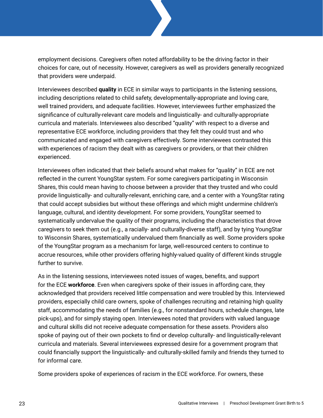employment decisions. Caregivers often noted affordability to be the driving factor in their choices for care, out of necessity. However, caregivers as well as providers generally recognized that providers were underpaid.

Interviewees described **quality** in ECE in similar ways to participants in the listening sessions, including descriptions related to child safety, developmentally-appropriate and loving care, well trained providers, and adequate facilities. However, interviewees further emphasized the significance of culturally-relevant care models and linguistically- and culturally-appropriate curricula and materials. Interviewees also described "quality" with respect to a diverse and representative ECE workforce, including providers that they felt they could trust and who communicated and engaged with caregivers effectively. Some interviewees contrasted this with experiences of racism they dealt with as caregivers or providers, or that their children experienced.

Interviewees often indicated that their beliefs around what makes for "quality" in ECE are not reflected in the current YoungStar system. For some caregivers participating in Wisconsin Shares, this could mean having to choose between a provider that they trusted and who could provide linguistically- and culturally-relevant, enriching care, and a center with a YoungStar rating that could accept subsidies but without these offerings and which might undermine children's language, cultural, and identity development. For some providers, YoungStar seemed to systematically undervalue the quality of their programs, including the characteristics that drove caregivers to seek them out (e.g., a racially- and culturally-diverse staff), and by tying YoungStar to Wisconsin Shares, systematically undervalued them financially as well. Some providers spoke of the YoungStar program as a mechanism for large, well-resourced centers to continue to accrue resources, while other providers offering highly-valued quality of different kinds struggle further to survive.

As in the listening sessions, interviewees noted issues of wages, benefits, and support for the ECE **workforce**. Even when caregivers spoke of their issues in affording care, they acknowledged that providers received little compensation and were troubled by this. Interviewed providers, especially child care owners, spoke of challenges recruiting and retaining high quality staff, accommodating the needs of families (e.g., for nonstandard hours, schedule changes, late pick-ups), and for simply staying open. Interviewees noted that providers with valued language and cultural skills did not receive adequate compensation for these assets. Providers also spoke of paying out of their own pockets to find or develop culturally- and linguistically-relevant curricula and materials. Several interviewees expressed desire for a government program that could financially support the linguistically- and culturally-skilled family and friends they turned to for informal care.

Some providers spoke of experiences of racism in the ECE workforce. For owners, these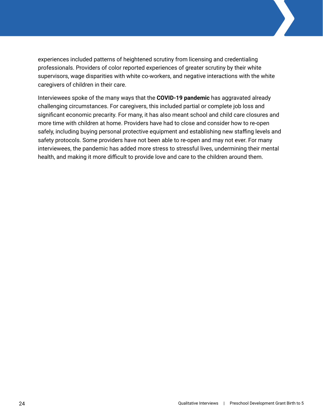experiences included patterns of heightened scrutiny from licensing and credentialing professionals. Providers of color reported experiences of greater scrutiny by their white supervisors, wage disparities with white co-workers, and negative interactions with the white caregivers of children in their care.

Interviewees spoke of the many ways that the **COVID-19 pandemic** has aggravated already challenging circumstances. For caregivers, this included partial or complete job loss and significant economic precarity. For many, it has also meant school and child care closures and more time with children at home. Providers have had to close and consider how to re-open safely, including buying personal protective equipment and establishing new staffing levels and safety protocols. Some providers have not been able to re-open and may not ever. For many interviewees, the pandemic has added more stress to stressful lives, undermining their mental health, and making it more difficult to provide love and care to the children around them.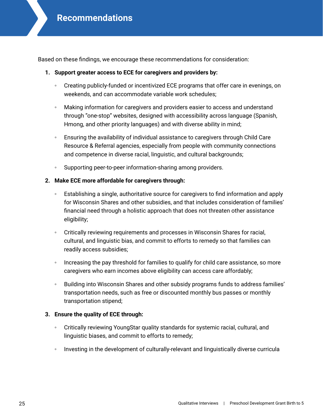<span id="page-24-0"></span>Based on these findings, we encourage these recommendations for consideration:

#### **1. Support greater access to ECE for caregivers and providers by:**

- Creating publicly-funded or incentivized ECE programs that offer care in evenings, on weekends, and can accommodate variable work schedules;
- Making information for caregivers and providers easier to access and understand through "one-stop" websites, designed with accessibility across language (Spanish, Hmong, and other priority languages) and with diverse ability in mind;
- Ensuring the availability of individual assistance to caregivers through Child Care Resource & Referral agencies, especially from people with community connections and competence in diverse racial, linguistic, and cultural backgrounds;
- Supporting peer-to-peer information-sharing among providers.

#### **2. Make ECE more affordable for caregivers through:**

- Establishing a single, authoritative source for caregivers to find information and apply for Wisconsin Shares and other subsidies, and that includes consideration of families' financial need through a holistic approach that does not threaten other assistance eligibility;
- Critically reviewing requirements and processes in Wisconsin Shares for racial, cultural, and linguistic bias, and commit to efforts to remedy so that families can readily access subsidies;
- Increasing the pay threshold for families to qualify for child care assistance, so more caregivers who earn incomes above eligibility can access care affordably;
- Building into Wisconsin Shares and other subsidy programs funds to address families' transportation needs, such as free or discounted monthly bus passes or monthly transportation stipend;

#### **3. Ensure the quality of ECE through:**

- Critically reviewing YoungStar quality standards for systemic racial, cultural, and linguistic biases, and commit to efforts to remedy;
- Investing in the development of culturally-relevant and linguistically diverse curricula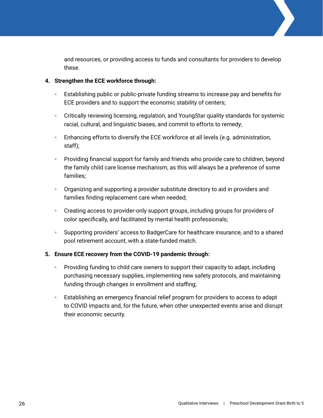and resources, or providing access to funds and consultants for providers to develop these.

#### **4. Strengthen the ECE workforce through:**

- Establishing public or public-private funding streams to increase pay and benefits for ECE providers and to support the economic stability of centers;
- Critically reviewing licensing, regulation, and YoungStar quality standards for systemic racial, cultural, and linguistic biases, and commit to efforts to remedy;
- Enhancing efforts to diversify the ECE workforce at all levels (e.g. administration, staff);
- Providing financial support for family and friends who provide care to children, beyond the family child care license mechanism, as this will always be a preference of some families;
- Organizing and supporting a provider substitute directory to aid in providers and families finding replacement care when needed;
- Creating access to provider-only support groups, including groups for providers of color specifically, and facilitated by mental health professionals;
- Supporting providers' access to BadgerCare for healthcare insurance, and to a shared pool retirement account, with a state-funded match.

# **5. Ensure ECE recovery from the COVID-19 pandemic through:**

- Providing funding to child care owners to support their capacity to adapt, including purchasing necessary supplies, implementing new safety protocols, and maintaining funding through changes in enrollment and staffing;
- Establishing an emergency financial relief program for providers to access to adapt to COVID impacts and, for the future, when other unexpected events arise and disrupt their economic security.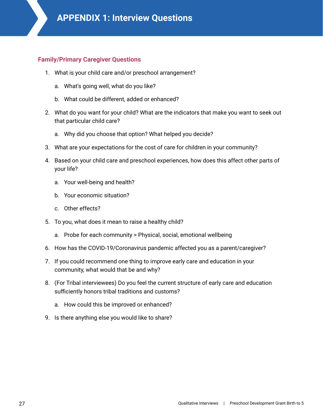<span id="page-26-0"></span>

#### **Family/Primary Caregiver Questions**

- 1. What is your child care and/or preschool arrangement?
	- a. What's going well, what do you like?
	- b. What could be different, added or enhanced?
- 2. What do you want for your child? What are the indicators that make you want to seek out that particular child care?
	- a. Why did you choose that option? What helped you decide?
- 3. What are your expectations for the cost of care for children in your community?
- 4. Based on your child care and preschool experiences, how does this affect other parts of your life?
	- a. Your well-being and health?
	- b. Your economic situation?
	- c. Other effects?
- 5. To you, what does it mean to raise a healthy child?
	- a. Probe for each community > Physical, social, emotional wellbeing
- 6. How has the COVID-19/Coronavirus pandemic affected you as a parent/caregiver?
- 7. If you could recommend one thing to improve early care and education in your community, what would that be and why?
- 8. (For Tribal interviewees) Do you feel the current structure of early care and education sufficiently honors tribal traditions and customs?
	- a. How could this be improved or enhanced?
- 9. Is there anything else you would like to share?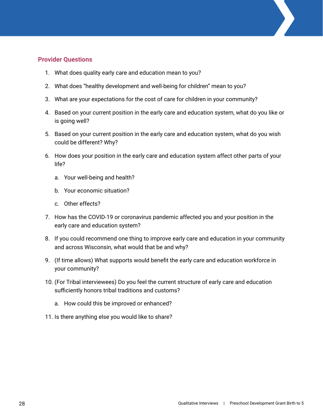# **Provider Questions**

- 1. What does quality early care and education mean to you?
- 2. What does "healthy development and well-being for children" mean to you?
- 3. What are your expectations for the cost of care for children in your community?
- 4. Based on your current position in the early care and education system, what do you like or is going well?
- 5. Based on your current position in the early care and education system, what do you wish could be different? Why?
- 6. How does your position in the early care and education system affect other parts of your life?
	- a. Your well-being and health?
	- b. Your economic situation?
	- c. Other effects?
- 7. How has the COVID-19 or coronavirus pandemic affected you and your position in the early care and education system?
- 8. If you could recommend one thing to improve early care and education in your community and across Wisconsin, what would that be and why?
- 9. (If time allows) What supports would benefit the early care and education workforce in your community?
- 10. (For Tribal interviewees) Do you feel the current structure of early care and education sufficiently honors tribal traditions and customs?
	- a. How could this be improved or enhanced?
- 11. Is there anything else you would like to share?